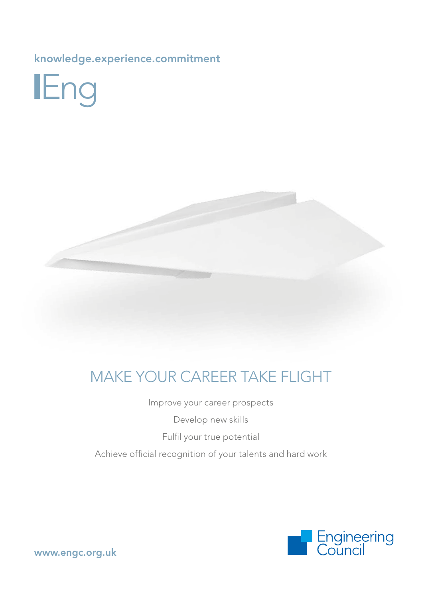knowledge.experience.commitment





## MAKE YOUR CAREER TAKE FLIGHT

Improve your career prospects

Develop new skills

Fulfil your true potential

Achieve official recognition of your talents and hard work



[www.engc.org.uk](http://www.engc.org.uk)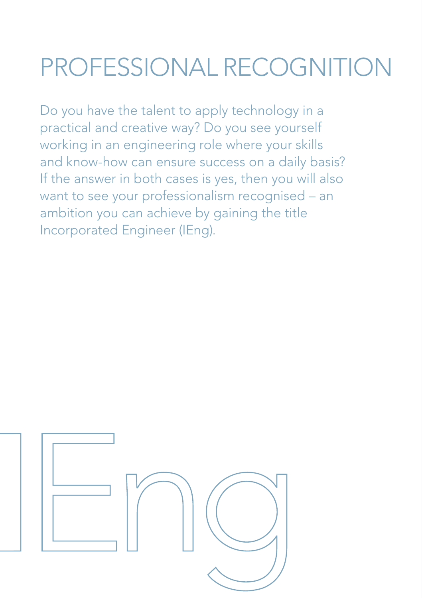# PROFESSIONAL RECOGNITION

Do you have the talent to apply technology in a practical and creative way? Do you see yourself working in an engineering role where your skills and know-how can ensure success on a daily basis? If the answer in both cases is yes, then you will also want to see your professionalism recognised – an ambition you can achieve by gaining the title Incorporated Engineer (IEng).

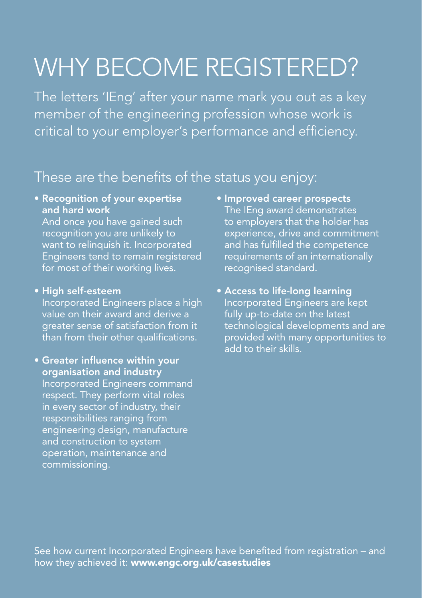## WHY BECOME REGISTERED?

The letters 'IEng' after your name mark you out as a key member of the engineering profession whose work is critical to your employer's performance and efficiency.

### These are the benefits of the status you enjoy:

• Recognition of your expertise and hard work

 And once you have gained such recognition you are unlikely to want to relinquish it. Incorporated Engineers tend to remain registered for most of their working lives.

#### • High self-esteem

 Incorporated Engineers place a high value on their award and derive a greater sense of satisfaction from it than from their other qualifications.

• Greater influence within your organisation and industry Incorporated Engineers command respect. They perform vital roles in every sector of industry, their responsibilities ranging from engineering design, manufacture and construction to system operation, maintenance and commissioning.

- Improved career prospects The IEng award demonstrates to employers that the holder has experience, drive and commitment and has fulfilled the competence requirements of an internationally recognised standard.
- Access to life-long learning Incorporated Engineers are kept fully up-to-date on the latest technological developments and are provided with many opportunities to add to their skills.

See how current Incorporated Engineers have benefited from registration – and how they achieved it: www.engc.org.uk/casestudies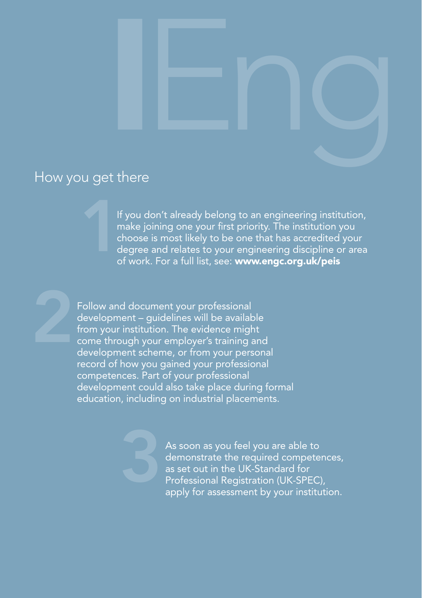

#### How you get there

If you don't already belong to an engineering institution, make joining one your first priority. The institution you choose is most likely to be one that has accredited your degree and relates to your engineering discipline or area of work. For a full list, see: www.engc.org.uk/peis 1

Follow and document your professional development – guidelines will be available from your institution. The evidence might come through your employer's training and development scheme, or from your personal record of how you gained your professional competences. Part of your professional development could also take place during formal education, including on industrial placements.

> As soon as you feel you are able to demonstrate the required competences, as set out in the UK-Standard for Professional Registration (UK-SPEC), apply for assessment by your institution.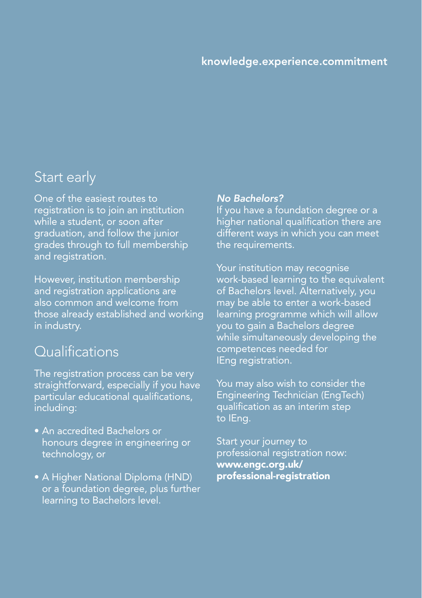# IEng knowledge.experience.commitment

#### Start early

One of the easiest routes to registration is to join an institution while a student, or soon after graduation, and follow the junior grades through to full membership and registration.

However, institution membership and registration applications are also common and welcome from those already established and working in industry.

#### **Qualifications**

The registration process can be very straightforward, especially if you have particular educational qualifications, including:

- An accredited Bachelors or honours degree in engineering or technology, or
- A Higher National Diploma (HND) or a foundation degree, plus further learning to Bachelors level.

#### *No Bachelors?*

If you have a foundation degree or a higher national qualification there are different ways in which you can meet the requirements.

Your institution may recognise work-based learning to the equivalent of Bachelors level. Alternatively, you may be able to enter a work-based learning programme which will allow you to gain a Bachelors degree while simultaneously developing the competences needed for IEng registration.

You may also wish to consider the Engineering Technician (EngTech) qualification as an interim step to IEng.

Start your journey to professional registration now: [www.engc.org.uk/](http://www.engc.org.uk/professional-registration) [professional-registration](http://www.engc.org.uk/professional-registration)